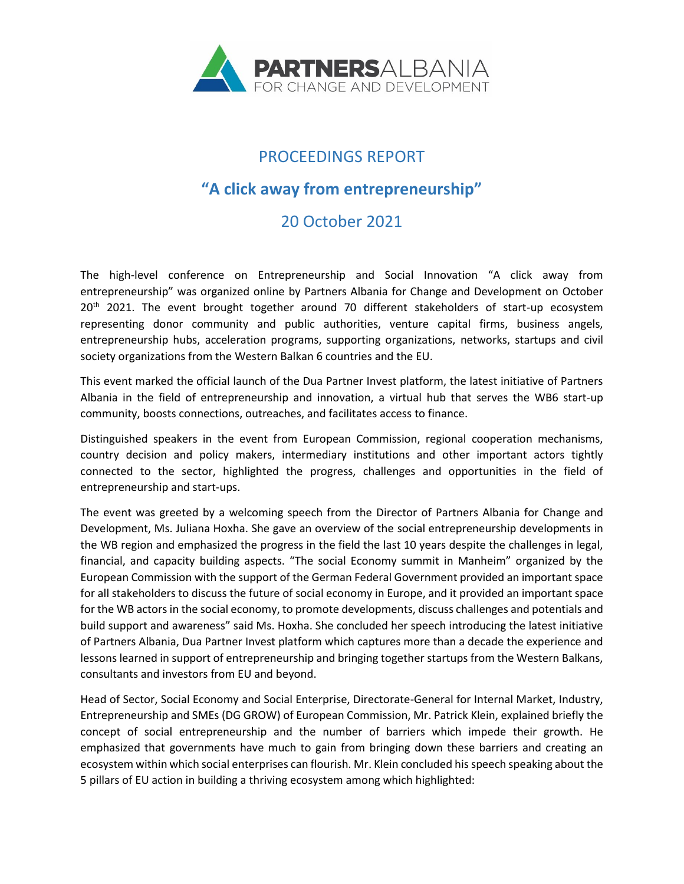

# PROCEEDINGS REPORT

## **"A click away from entrepreneurship"**

### 20 October 2021

The high-level conference on Entrepreneurship and Social Innovation "A click away from entrepreneurship" was organized online by Partners Albania for Change and Development on October 20<sup>th</sup> 2021. The event brought together around 70 different stakeholders of start-up ecosystem representing donor community and public authorities, venture capital firms, business angels, entrepreneurship hubs, acceleration programs, supporting organizations, networks, startups and civil society organizations from the Western Balkan 6 countries and the EU.

This event marked the official launch of the Dua Partner Invest platform, the latest initiative of Partners Albania in the field of entrepreneurship and innovation, a virtual hub that serves the WB6 start-up community, boosts connections, outreaches, and facilitates access to finance.

Distinguished speakers in the event from European Commission, regional cooperation mechanisms, country decision and policy makers, intermediary institutions and other important actors tightly connected to the sector, highlighted the progress, challenges and opportunities in the field of entrepreneurship and start-ups.

The event was greeted by a welcoming speech from the Director of Partners Albania for Change and Development, Ms. Juliana Hoxha. She gave an overview of the social entrepreneurship developments in the WB region and emphasized the progress in the field the last 10 years despite the challenges in legal, financial, and capacity building aspects. "The social Economy summit in Manheim" organized by the European Commission with the support of the German Federal Government provided an important space for all stakeholders to discuss the future of social economy in Europe, and it provided an important space for the WB actors in the social economy, to promote developments, discuss challenges and potentials and build support and awareness" said Ms. Hoxha. She concluded her speech introducing the latest initiative of Partners Albania, Dua Partner Invest platform which captures more than a decade the experience and lessons learned in support of entrepreneurship and bringing together startups from the Western Balkans, consultants and investors from EU and beyond.

Head of Sector, Social Economy and Social Enterprise, Directorate-General for Internal Market, Industry, Entrepreneurship and SMEs (DG GROW) of European Commission, Mr. Patrick Klein, explained briefly the concept of social entrepreneurship and the number of barriers which impede their growth. He emphasized that governments have much to gain from bringing down these barriers and creating an ecosystem within which social enterprises can flourish. Mr. Klein concluded his speech speaking about the 5 pillars of EU action in building a thriving ecosystem among which highlighted: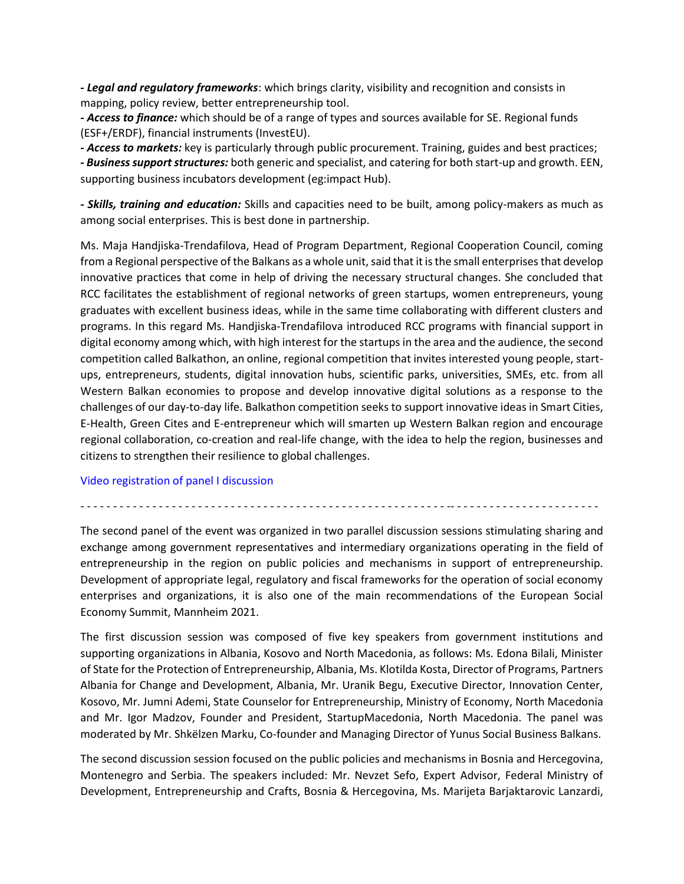*- Legal and regulatory frameworks*: which brings clarity, visibility and recognition and consists in mapping, policy review, better entrepreneurship tool.

*- Access to finance:* which should be of a range of types and sources available for SE. Regional funds (ESF+/ERDF), financial instruments (InvestEU).

*- Access to markets:* key is particularly through public procurement. Training, guides and best practices;

*- Business support structures:* both generic and specialist, and catering for both start-up and growth. EEN, supporting business incubators development (eg:impact Hub).

*- Skills, training and education:* Skills and capacities need to be built, among policy-makers as much as among social enterprises. This is best done in partnership.

Ms. Maja Handjiska-Trendafilova, Head of Program Department, Regional Cooperation Council, coming from a Regional perspective of the Balkans as a whole unit, said that it is the small enterprises that develop innovative practices that come in help of driving the necessary structural changes. She concluded that RCC facilitates the establishment of regional networks of green startups, women entrepreneurs, young graduates with excellent business ideas, while in the same time collaborating with different clusters and programs. In this regard Ms. Handjiska-Trendafilova introduced RCC programs with financial support in digital economy among which, with high interest for the startups in the area and the audience, the second competition called Balkathon, an online, regional competition that invites interested young people, startups, entrepreneurs, students, digital innovation hubs, scientific parks, universities, SMEs, etc. from all Western Balkan economies to propose and develop innovative digital solutions as a response to the challenges of our day-to-day life. Balkathon competition seeks to support innovative ideas in Smart Cities, E-Health, Green Cites and E-entrepreneur which will smarten up Western Balkan region and encourage regional collaboration, co-creation and real-life change, with the idea to help the region, businesses and citizens to strengthen their resilience to global challenges.

### [Video registration of panel I discussion](https://youtu.be/ZMmZVnliCr0)

- - - - - - - - - - - - - - - - - - - - - - - - - - - - - - - - - - - - - - - - - - - - - - - - - - - - - - - - -- - - - - - - - - - - - - - - - - - - - - - -

The second panel of the event was organized in two parallel discussion sessions stimulating sharing and exchange among government representatives and intermediary organizations operating in the field of entrepreneurship in the region on public policies and mechanisms in support of entrepreneurship. Development of appropriate legal, regulatory and fiscal frameworks for the operation of social economy enterprises and organizations, it is also one of the main recommendations of the European Social Economy Summit, Mannheim 2021.

The first discussion session was composed of five key speakers from government institutions and supporting organizations in Albania, Kosovo and North Macedonia, as follows: Ms. Edona Bilali, Minister of State for the Protection of Entrepreneurship, Albania, Ms. Klotilda Kosta, Director of Programs, Partners Albania for Change and Development, Albania, Mr. Uranik Begu, Executive Director, Innovation Center, Kosovo, Mr. Jumni Ademi, State Counselor for Entrepreneurship, Ministry of Economy, North Macedonia and Mr. Igor Madzov, Founder and President, StartupMacedonia, North Macedonia. The panel was moderated by Mr. Shkëlzen Marku, Co-founder and Managing Director of Yunus Social Business Balkans.

The second discussion session focused on the public policies and mechanisms in Bosnia and Hercegovina, Montenegro and Serbia. The speakers included: Mr. Nevzet Sefo, Expert Advisor, Federal Ministry of Development, Entrepreneurship and Crafts, Bosnia & Hercegovina, Ms. Marijeta Barjaktarovic Lanzardi,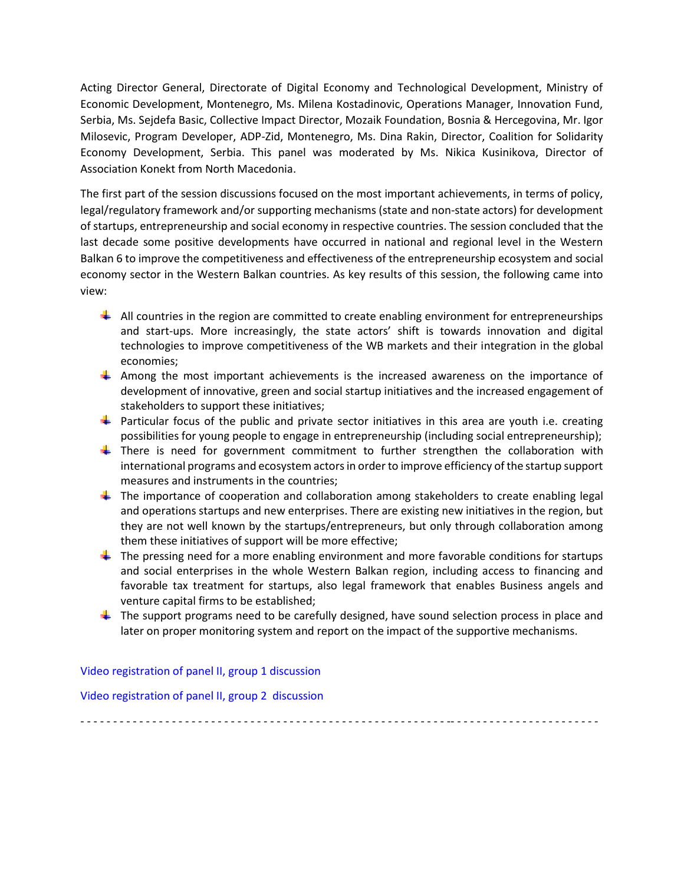Acting Director General, Directorate of Digital Economy and Technological Development, Ministry of Economic Development, Montenegro, Ms. Milena Kostadinovic, Operations Manager, Innovation Fund, Serbia, Ms. Sejdefa Basic, Collective Impact Director, Mozaik Foundation, Bosnia & Hercegovina, Mr. Igor Milosevic, Program Developer, ADP-Zid, Montenegro, Ms. Dina Rakin, Director, Coalition for Solidarity Economy Development, Serbia. This panel was moderated by Ms. Nikica Kusinikova, Director of Association Konekt from North Macedonia.

The first part of the session discussions focused on the most important achievements, in terms of policy, legal/regulatory framework and/or supporting mechanisms (state and non-state actors) for development of startups, entrepreneurship and social economy in respective countries. The session concluded that the last decade some positive developments have occurred in national and regional level in the Western Balkan 6 to improve the competitiveness and effectiveness of the entrepreneurship ecosystem and social economy sector in the Western Balkan countries. As key results of this session, the following came into view:

- $\downarrow$  All countries in the region are committed to create enabling environment for entrepreneurships and start-ups. More increasingly, the state actors' shift is towards innovation and digital technologies to improve competitiveness of the WB markets and their integration in the global economies;
- $\ddot{\phantom{1}}$  Among the most important achievements is the increased awareness on the importance of development of innovative, green and social startup initiatives and the increased engagement of stakeholders to support these initiatives;
- **Particular focus of the public and private sector initiatives in this area are youth i.e. creating** possibilities for young people to engage in entrepreneurship (including social entrepreneurship);
- **There is need for government commitment to further strengthen the collaboration with** international programs and ecosystem actors in order to improve efficiency of the startup support measures and instruments in the countries;
- $\ddot{\phantom{1}}$  The importance of cooperation and collaboration among stakeholders to create enabling legal and operations startups and new enterprises. There are existing new initiatives in the region, but they are not well known by the startups/entrepreneurs, but only through collaboration among them these initiatives of support will be more effective;
- $\ddot{\phantom{1}}$  The pressing need for a more enabling environment and more favorable conditions for startups and social enterprises in the whole Western Balkan region, including access to financing and favorable tax treatment for startups, also legal framework that enables Business angels and venture capital firms to be established;
- $\ddot{\phantom{1}}$  The support programs need to be carefully designed, have sound selection process in place and later on proper monitoring system and report on the impact of the supportive mechanisms.

### [Video registration of panel II, group](https://youtu.be/1X8HLDMOmnI) 1 discussion

[Video registration of panel II,](https://youtu.be/obkLAsbsRDc) group 2 discussion

- - - - - - - - - - - - - - - - - - - - - - - - - - - - - - - - - - - - - - - - - - - - - - - - - - - - - - - - -- - - - - - - - - - - - - - - - - - - - - - -